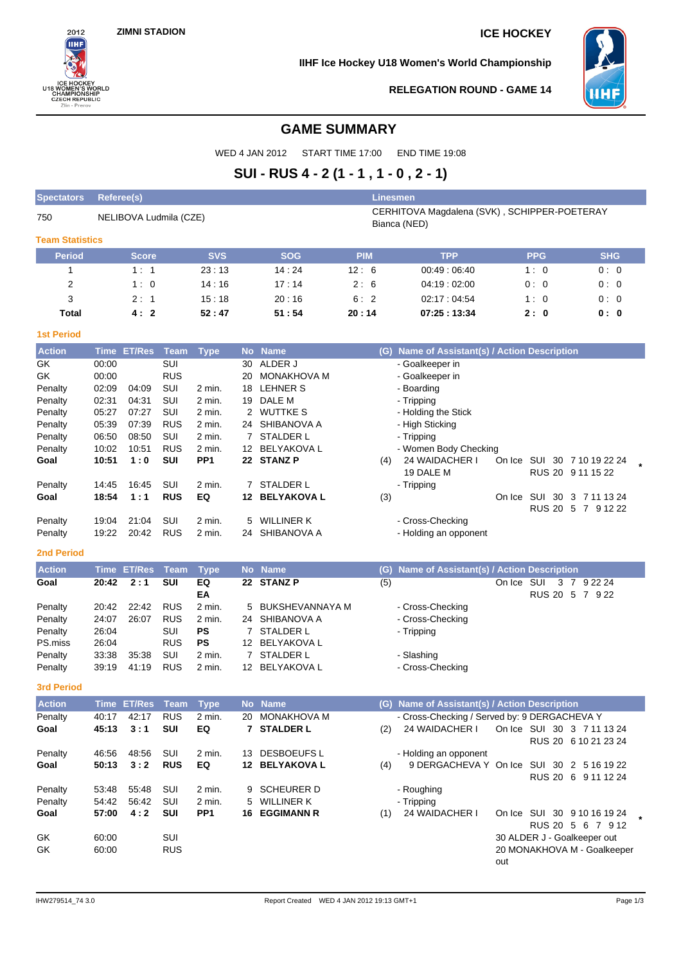$2012$ ĤН

ICE HOCKEY<br>U18 WOMEN'S WORLD<br>CHAMPIONSHIP<br>CZECH REPUBLIC<br>Zlin - Prerov

**IIHF Ice Hockey U18 Women's World Championship**



**RELEGATION ROUND - GAME 14**

# **GAME SUMMARY**

WED 4 JAN 2012 START TIME 17:00 END TIME 19:08

# **SUI - RUS 4 - 2 (1 - 1 , 1 - 0 , 2 - 1)**

| <b>Spectators</b>      | Referee(s)     |                                                                                        |                   |                  |           |                                    |            | Linesmen                                      |            |                             |                      |     |
|------------------------|----------------|----------------------------------------------------------------------------------------|-------------------|------------------|-----------|------------------------------------|------------|-----------------------------------------------|------------|-----------------------------|----------------------|-----|
| 750                    |                | CERHITOVA Magdalena (SVK), SCHIPPER-POETERAY<br>NELIBOVA Ludmila (CZE)<br>Bianca (NED) |                   |                  |           |                                    |            |                                               |            |                             |                      |     |
| <b>Team Statistics</b> |                |                                                                                        |                   |                  |           |                                    |            |                                               |            |                             |                      |     |
| <b>Period</b>          |                | <b>Score</b>                                                                           |                   | <b>SVS</b>       |           | <b>SOG</b>                         | <b>PIM</b> | <b>TPP</b>                                    |            | <b>PPG</b>                  | <b>SHG</b>           |     |
| 1                      |                | 1:1                                                                                    |                   | 23:13            |           | 14:24                              | 12:6       | 00:49:06:40                                   |            | 1:0                         |                      | 0:0 |
| 2                      |                | 1:0                                                                                    |                   | 14:16            |           | 17:14                              | 2:6        | 04:19:02:00                                   |            | 0:0                         |                      | 0:0 |
| 3                      |                | 2:1                                                                                    |                   | 15:18            |           | 20:16                              | 6:2        | 02:17:04:54                                   |            | 1:0                         |                      | 0:0 |
| <b>Total</b>           |                | 4:2                                                                                    |                   | 52:47            |           | 51:54                              | 20:14      | 07:25:13:34                                   |            | 2:0                         | 0: 0                 |     |
| <b>1st Period</b>      |                |                                                                                        |                   |                  |           |                                    |            |                                               |            |                             |                      |     |
| <b>Action</b>          |                | Time ET/Res                                                                            | <b>Team</b>       | <b>Type</b>      | <b>No</b> | <b>Name</b>                        | (G)        | Name of Assistant(s) / Action Description     |            |                             |                      |     |
| GK                     | 00:00          |                                                                                        | SUI               |                  | 30        | ALDER J                            |            | - Goalkeeper in                               |            |                             |                      |     |
| GK                     | 00:00          |                                                                                        | <b>RUS</b>        |                  | 20        | <b>MONAKHOVA M</b>                 |            | - Goalkeeper in                               |            |                             |                      |     |
| Penalty                | 02:09          | 04:09                                                                                  | SUI               | 2 min.           |           | 18 LEHNER S                        |            | - Boarding                                    |            |                             |                      |     |
| Penalty                | 02:31          | 04:31                                                                                  | SUI               | 2 min.           |           | 19 DALE M                          |            | - Tripping                                    |            |                             |                      |     |
| Penalty                | 05:27          | 07:27                                                                                  | SUI               | 2 min.           |           | 2 WUTTKE S                         |            | - Holding the Stick                           |            |                             |                      |     |
| Penalty                | 05:39          | 07:39                                                                                  | <b>RUS</b>        | 2 min.           |           | 24 SHIBANOVA A                     |            | - High Sticking                               |            |                             |                      |     |
| Penalty                | 06:50          | 08:50                                                                                  | SUI               | 2 min.           |           | 7 STALDER L                        |            | - Tripping                                    |            |                             |                      |     |
| Penalty                | 10:02          | 10:51                                                                                  | <b>RUS</b>        | 2 min.           |           | 12 BELYAKOVA L                     |            | - Women Body Checking                         |            |                             |                      |     |
| Goal                   | 10:51          | 1:0                                                                                    | <b>SUI</b>        | PP <sub>1</sub>  |           | 22 STANZ P                         | (4)        | 24 WAIDACHER I<br>19 DALE M                   |            | On Ice SUI 30 7 10 19 22 24 | RUS 20 9 11 15 22    |     |
| Penalty                | 14:45          | 16:45                                                                                  | SUI               | $2$ min.         | 7         | STALDER L                          |            | - Tripping                                    |            |                             |                      |     |
| Goal                   | 18:54          | 1:1                                                                                    | <b>RUS</b>        | EQ               |           | 12 BELYAKOVA L                     | (3)        |                                               |            | On Ice SUI 30 3 7 11 13 24  |                      |     |
|                        |                |                                                                                        |                   |                  |           |                                    |            |                                               |            |                             | RUS 20 5 7 9 12 22   |     |
| Penalty                | 19:04          | 21:04                                                                                  | SUI               | 2 min.           | 5         | <b>WILLINER K</b>                  |            | - Cross-Checking                              |            |                             |                      |     |
| Penalty                | 19:22          | 20:42                                                                                  | <b>RUS</b>        | 2 min.           |           | 24 SHIBANOVA A                     |            | - Holding an opponent                         |            |                             |                      |     |
| <b>2nd Period</b>      |                |                                                                                        |                   |                  |           |                                    |            |                                               |            |                             |                      |     |
| <b>Action</b>          | Time           | <b>ET/Res</b>                                                                          | Team              | <b>Type</b>      | <b>No</b> | <b>Name</b>                        | (G)        | Name of Assistant(s) / Action Description     |            |                             |                      |     |
| Goal                   | 20:42          | 2:1                                                                                    | SUI               | EQ               |           | 22 STANZ P                         | (5)        |                                               | On Ice SUI |                             | 3 7 9 22 24          |     |
|                        |                |                                                                                        |                   | EA               |           |                                    |            |                                               |            |                             | RUS 20 5 7 9 22      |     |
| Penalty                | 20:42          | 22:42                                                                                  | <b>RUS</b>        | 2 min.           |           | BUKSHEVANNAYA M                    |            | - Cross-Checking                              |            |                             |                      |     |
| Penalty                | 24:07          | 26:07                                                                                  | <b>RUS</b>        | 2 min.           |           | 24 SHIBANOVA A                     |            | - Cross-Checking                              |            |                             |                      |     |
| Penalty                | 26:04          |                                                                                        | SUI               | <b>PS</b>        |           | 7 STALDER L                        |            | - Tripping                                    |            |                             |                      |     |
| PS.miss                | 26:04          |                                                                                        | <b>RUS</b>        | <b>PS</b>        |           | 12 BELYAKOVA L                     |            |                                               |            |                             |                      |     |
| Penalty                | 33:38<br>39:19 | 35:38<br>41:19                                                                         | SUI<br><b>RUS</b> | 2 min.<br>2 min. |           | <b>STALDER L</b><br>12 BELYAKOVA L |            | - Slashing<br>- Cross-Checking                |            |                             |                      |     |
| Penalty                |                |                                                                                        |                   |                  |           |                                    |            |                                               |            |                             |                      |     |
| <b>3rd Period</b>      |                |                                                                                        |                   |                  |           |                                    |            |                                               |            |                             |                      |     |
| <b>Action</b>          |                | Time ET/Res Team Type                                                                  |                   |                  |           | No Name                            |            | (G) Name of Assistant(s) / Action Description |            |                             |                      |     |
| Penalty                | 40:17          | 42:17                                                                                  | <b>RUS</b>        | 2 min.           |           | 20 MONAKHOVA M                     |            | - Cross-Checking / Served by: 9 DERGACHEVA Y  |            |                             |                      |     |
| Goal                   | 45:13          | 3:1                                                                                    | SUI               | EQ               |           | 7 STALDER L                        | (2)        | 24 WAIDACHER I                                |            | On Ice SUI 30 3 7 11 13 24  |                      |     |
|                        |                |                                                                                        |                   |                  |           |                                    |            |                                               |            |                             | RUS 20 6 10 21 23 24 |     |
| Penalty<br>Goal        | 46:56          | 48:56                                                                                  | SUI<br><b>RUS</b> | 2 min.<br>EQ     |           | 13 DESBOEUFS L<br>12 BELYAKOVA L   |            | - Holding an opponent                         |            |                             |                      |     |
|                        | 50:13          | 3:2                                                                                    |                   |                  |           |                                    | (4)        | 9 DERGACHEVA Y On Ice SUI 30 2 5 16 19 22     |            |                             | RUS 20 6 9 11 12 24  |     |
| Penalty                | 53:48          | 55:48                                                                                  | SUI               | 2 min.           | 9         | <b>SCHEURER D</b>                  |            | - Roughing                                    |            |                             |                      |     |
| Penalty                | 54:42          | 56:42                                                                                  | SUI               | 2 min.           |           | 5 WILLINER K                       |            | - Tripping                                    |            |                             |                      |     |
| Goal                   | 57:00          | 4:2                                                                                    | SUI               | PP <sub>1</sub>  |           | <b>16 EGGIMANN R</b>               | (1)        | 24 WAIDACHER I                                |            | On Ice SUI 30 9 10 16 19 24 |                      |     |
|                        |                |                                                                                        |                   |                  |           |                                    |            |                                               |            |                             | RUS 20 5 6 7 9 12    |     |
| GK                     | 60:00          |                                                                                        | SUI               |                  |           |                                    |            |                                               |            | 30 ALDER J - Goalkeeper out |                      |     |
| GK                     | 60:00          |                                                                                        | <b>RUS</b>        |                  |           |                                    |            |                                               |            | 20 MONAKHOVA M - Goalkeeper |                      |     |
|                        |                |                                                                                        |                   |                  |           |                                    |            |                                               | out        |                             |                      |     |
|                        |                |                                                                                        |                   |                  |           |                                    |            |                                               |            |                             |                      |     |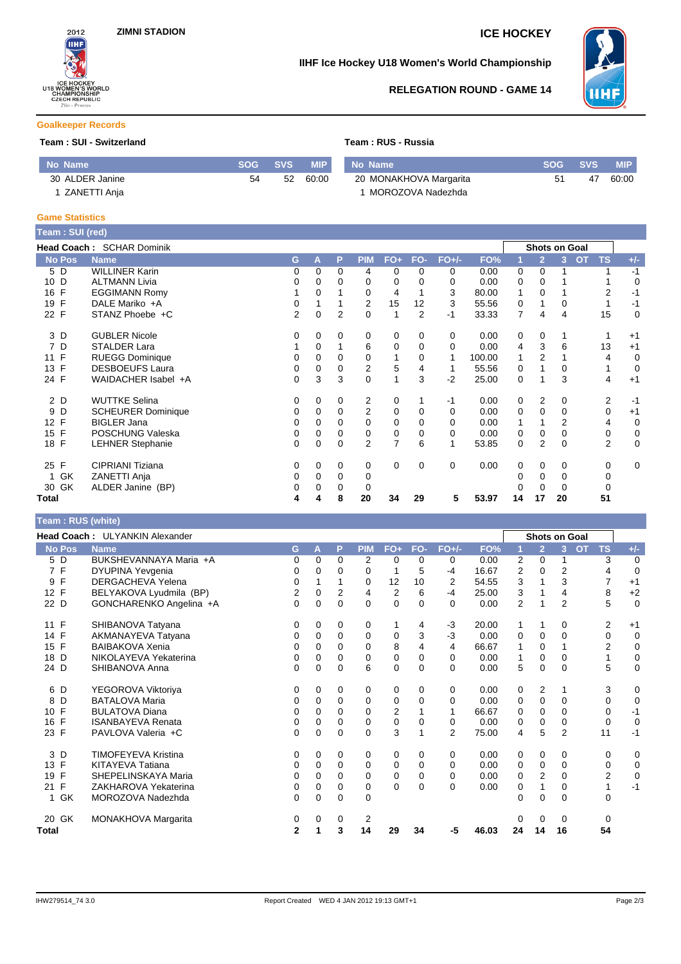

# **IIHF Ice Hockey U18 Women's World Championship**



## **RELEGATION ROUND - GAME 14**

### **Goalkeeper Records**

### **Team : SUI - Switzerland Team : RUS - Russia**

| No Name         | SOG | <b>SVS</b> | <b>MIP</b> | No Name                | <b>SOG</b> | <b>SVS</b> | MIP.  |
|-----------------|-----|------------|------------|------------------------|------------|------------|-------|
| 30 ALDER Janine | 54  | 52         | 60:00      | 20 MONAKHOVA Margarita | -51        | 47         | 60:00 |
| ZANETTI Anja    |     |            |            | MOROZOVA Nadezhda      |            |            |       |

### **Game Statistics**

| Team: SUI (red)    |                           |                |             |             |             |          |             |          |        |          |                |                      |                        |                |
|--------------------|---------------------------|----------------|-------------|-------------|-------------|----------|-------------|----------|--------|----------|----------------|----------------------|------------------------|----------------|
|                    | Head Coach: SCHAR Dominik |                |             |             |             |          |             |          |        |          |                | <b>Shots on Goal</b> |                        |                |
| <b>No Pos</b>      | <b>Name</b>               | G              | A           | P           | <b>PIM</b>  | FO+      | FO-         | $FO+/-$  | FO%    |          | $\overline{2}$ | 3                    | <b>TS</b><br><b>OT</b> | $+/-$          |
| 5 D                | <b>WILLINER Karin</b>     | 0              | 0           | $\mathbf 0$ | 4           | 0        | 0           | 0        | 0.00   | 0        | 0              |                      |                        | $-1$           |
| 10 D               | <b>ALTMANN Livia</b>      | 0              | 0           | 0           | 0           | 0        |             | 0        | 0.00   | 0        | 0              |                      |                        | 0              |
| $\mathsf{F}$<br>16 | <b>EGGIMANN Romy</b>      |                | 0           |             | 0           | 4        |             | 3        | 80.00  |          | $\mathbf 0$    |                      | 2                      | $-1$           |
| F<br>19            | DALE Mariko +A            | 0              |             |             | 2           | 15       | 12          | 3        | 55.56  | 0        |                |                      |                        | $-1$           |
| 22 F               | STANZ Phoebe +C           | $\overline{2}$ | $\mathbf 0$ | 2           | 0           | 1        | 2           | $-1$     | 33.33  | 7        | 4              | 4                    | 15                     | 0              |
| 3 D                | <b>GUBLER Nicole</b>      | 0              | 0           | $\Omega$    | 0           | 0        | $\Omega$    | 0        | 0.00   | 0        | 0              |                      |                        | $+1$           |
| D<br>7             | <b>STALDER Lara</b>       |                | 0           |             | 6           | 0        | $\Omega$    | $\Omega$ | 0.00   | 4        | 3              | 6                    | 13                     | $+1$           |
| 11 F               | <b>RUEGG Dominique</b>    | 0              | 0           | 0           | 0           |          | 0           | 1        | 100.00 |          | $\overline{2}$ |                      | 4                      | 0              |
| F<br>13            | <b>DESBOEUFS Laura</b>    | $\mathbf 0$    | 0           | 0           | 2           | 5        | 4           | 1        | 55.56  | 0        |                | 0                    |                        | $\overline{0}$ |
| 24 F               | WAIDACHER Isabel +A       | $\Omega$       | 3           | 3           | $\mathbf 0$ |          | 3           | $-2$     | 25.00  | 0        |                | 3                    | 4                      | $+1$           |
| 2 D                | <b>WUTTKE Selina</b>      | 0              | 0           | 0           | 2           | $\Omega$ |             | $-1$     | 0.00   | 0        | 2              | 0                    | 2                      | $-1$           |
| D<br>9             | <b>SCHEURER Dominique</b> | 0              | 0           | 0           | 2           | 0        | 0           | 0        | 0.00   | 0        | 0              | 0                    | 0                      | $+1$           |
| 12 F               | <b>BIGLER Jana</b>        | 0              | $\Omega$    | $\Omega$    | 0           | $\Omega$ | $\Omega$    | 0        | 0.00   | 1        |                | $\overline{2}$       | 4                      | 0              |
| F<br>15            | POSCHUNG Valeska          | 0              | 0           | 0           | 0           | 0        | 0           | 0        | 0.00   | 0        | 0              | 0                    | 0                      | 0              |
| F<br>18            | <b>LEHNER Stephanie</b>   | $\Omega$       | $\Omega$    | $\Omega$    | 2           | 7        | 6           |          | 53.85  | $\Omega$ | $\overline{2}$ | $\Omega$             | $\overline{2}$         | $\mathbf 0$    |
| 25 F               | CIPRIANI Tiziana          | 0              | 0           | 0           | 0           | 0        | $\mathbf 0$ | 0        | 0.00   | 0        | 0              | 0                    | 0                      | $\overline{0}$ |
| GK                 | ZANETTI Anja              | 0              | 0           | 0           | 0           |          |             |          |        | 0        | $\Omega$       | 0                    | 0                      |                |
| GK<br>30           | ALDER Janine (BP)         | 0              | 0           | 0           | 0           |          |             |          |        | 0        | 0              | 0                    | 0                      |                |
| Total              |                           | 4              | 4           | 8           | 20          | 34       | 29          | 5        | 53.97  | 14       | 17             | 20                   | 51                     |                |

### **Team : RUS (white)**

| Head Coach: ULYANKIN Alexander |                                                                                                                 |          |          |            |                |               |             |       |                |                |                |                |                                                                                                                                                                                                 |
|--------------------------------|-----------------------------------------------------------------------------------------------------------------|----------|----------|------------|----------------|---------------|-------------|-------|----------------|----------------|----------------|----------------|-------------------------------------------------------------------------------------------------------------------------------------------------------------------------------------------------|
| <b>Name</b>                    | G                                                                                                               | A        | P        | <b>PIM</b> | $FO+$          | FO-           | $FO+/-$     | FO%   |                | $\overline{2}$ | 3              | <b>OT</b>      | $+/-$                                                                                                                                                                                           |
| BUKSHEVANNAYA Maria +A         | 0                                                                                                               | $\Omega$ | $\Omega$ | 2          | $\Omega$       | $\Omega$      | $\Omega$    | 0.00  | 2              | $\Omega$       | 1              |                | 0                                                                                                                                                                                               |
| DYUPINA Yevgenia               | 0                                                                                                               | 0        | 0        | 0          | 1              | 5             | $-4$        | 16.67 | 2              | 0              | 2              |                | $\mathbf 0$                                                                                                                                                                                     |
| <b>DERGACHEVA Yelena</b>       | 0                                                                                                               |          |          | 0          | 12             | 10            | 2           | 54.55 | 3              |                | 3              |                | $+1$                                                                                                                                                                                            |
| BELYAKOVA Lyudmila (BP)        | 2                                                                                                               | $\Omega$ | 2        | 4          | $\overline{2}$ | 6             | $-4$        | 25.00 | 3              |                | 4              |                | $+2$                                                                                                                                                                                            |
| GONCHARENKO Angelina +A        | 0                                                                                                               | 0        | 0        | $\Omega$   | $\Omega$       | $\Omega$      | $\Omega$    | 0.00  | $\overline{2}$ |                | $\overline{2}$ |                | $\mathbf 0$                                                                                                                                                                                     |
| SHIBANOVA Tatyana              | 0                                                                                                               | 0        | 0        | 0          |                | 4             | $-3$        | 20.00 | 1              | 1              | 0              |                | $+1$                                                                                                                                                                                            |
| AKMANAYEVA Tatyana             | 0                                                                                                               | 0        | 0        | 0          | 0              |               | $-3$        | 0.00  | 0              | 0              | 0              |                | $\mathbf 0$                                                                                                                                                                                     |
| <b>BAIBAKOVA Xenia</b>         | 0                                                                                                               | $\Omega$ | 0        | 0          | 8              | 4             | 4           | 66.67 | 1              | 0              |                |                | 0                                                                                                                                                                                               |
| NIKOLAYEVA Yekaterina          | 0                                                                                                               | 0        | 0        | 0          | $\mathbf 0$    | $\mathbf 0$   | $\mathbf 0$ | 0.00  | 1              | 0              | $\Omega$       |                | 0                                                                                                                                                                                               |
| SHIBANOVA Anna                 | 0                                                                                                               | $\Omega$ | $\Omega$ | 6          | $\mathbf 0$    | $\Omega$      | $\Omega$    | 0.00  | 5              | $\mathbf 0$    | $\Omega$       |                | 0                                                                                                                                                                                               |
| YEGOROVA Viktoriya             | 0                                                                                                               | $\Omega$ | 0        | 0          | 0              | $\Omega$      | 0           | 0.00  | 0              | $\overline{2}$ | 1              |                | 0                                                                                                                                                                                               |
|                                | 0                                                                                                               | 0        | 0        | 0          | 0              | 0             | $\Omega$    | 0.00  | 0              | 0              | $\mathbf 0$    |                | 0                                                                                                                                                                                               |
|                                | 0                                                                                                               | $\Omega$ | 0        | 0          | 2              |               |             | 66.67 | 0              | 0              | 0              |                | $-1$                                                                                                                                                                                            |
| <b>ISANBAYEVA Renata</b>       | 0                                                                                                               | $\Omega$ | 0        | 0          | $\mathbf 0$    | 0             | 0           | 0.00  | 0              | 0              | 0              |                | $\mathbf 0$                                                                                                                                                                                     |
|                                | 0                                                                                                               | 0        | 0        | 0          |                |               |             | 75.00 | 4              |                |                |                | $-1$                                                                                                                                                                                            |
| <b>TIMOFEYEVA Kristina</b>     | 0                                                                                                               | 0        | 0        | 0          | 0              | 0             | 0           | 0.00  | 0              | 0              | 0              |                | 0                                                                                                                                                                                               |
|                                | 0                                                                                                               | $\Omega$ | $\Omega$ | 0          | 0              | $\Omega$      | $\Omega$    | 0.00  | 0              | 0              | $\Omega$       |                | 0                                                                                                                                                                                               |
|                                | $\Omega$                                                                                                        | $\Omega$ | 0        | 0          | 0              | 0             | $\mathbf 0$ | 0.00  | 0              |                | $\Omega$       |                | 0                                                                                                                                                                                               |
| ZAKHAROVA Yekaterina           | 0                                                                                                               | $\Omega$ | $\Omega$ | 0          |                | $\Omega$      | $\Omega$    | 0.00  | 0              | 1              | 0              |                | $-1$                                                                                                                                                                                            |
| MOROZOVA Nadezhda              | 0                                                                                                               | $\Omega$ | 0        | 0          |                |               |             |       | 0              | 0              | $\mathbf{0}$   |                |                                                                                                                                                                                                 |
| MONAKHOVA Margarita            | 0                                                                                                               | 0        | 0        | 2          |                |               |             |       | 0              | 0              | 0              |                |                                                                                                                                                                                                 |
|                                | $\mathbf{2}$                                                                                                    |          | 3        | 14         | 29             | 34            | -5          | 46.03 | 24             | 14             | 16             |                |                                                                                                                                                                                                 |
|                                | <b>BATALOVA Maria</b><br><b>BULATOVA Diana</b><br>PAVLOVA Valeria +C<br>KITAYEVA Tatiana<br>SHEPELINSKAYA Maria |          |          |            |                | 3<br>$\Omega$ | 3           | 2     |                |                | 5<br>2         | $\overline{2}$ | Shots on Goal<br><b>TS</b><br>3<br>4<br>7<br>8<br>5<br>2<br>0<br>$\overline{2}$<br>1<br>5<br>3<br>$\mathbf 0$<br>0<br>$\mathbf 0$<br>11<br>0<br>0<br>$\overline{2}$<br>1<br>$\Omega$<br>0<br>54 |